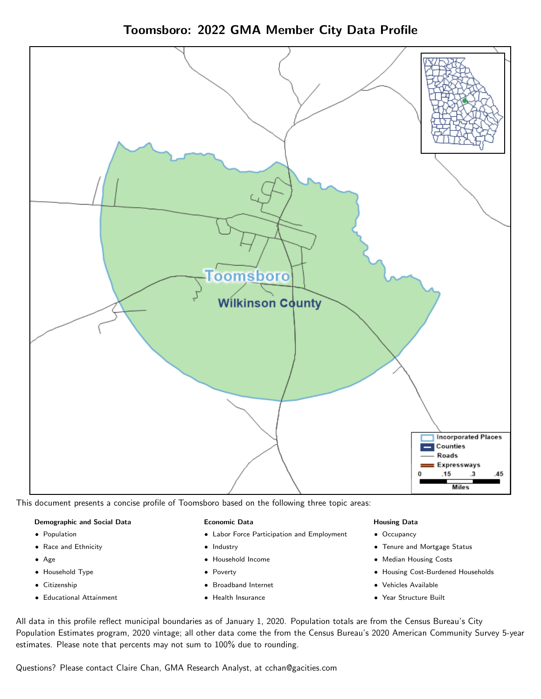



This document presents a concise profile of Toomsboro based on the following three topic areas:

# Demographic and Social Data

- **•** Population
- Race and Ethnicity
- Age
- Household Type
- **Citizenship**
- Educational Attainment

# Economic Data

- Labor Force Participation and Employment
- Industry
- Household Income
- Poverty
- Broadband Internet
- Health Insurance

# Housing Data

- Occupancy
- Tenure and Mortgage Status
- Median Housing Costs
- Housing Cost-Burdened Households
- Vehicles Available
- Year Structure Built

All data in this profile reflect municipal boundaries as of January 1, 2020. Population totals are from the Census Bureau's City Population Estimates program, 2020 vintage; all other data come the from the Census Bureau's 2020 American Community Survey 5-year estimates. Please note that percents may not sum to 100% due to rounding.

Questions? Please contact Claire Chan, GMA Research Analyst, at [cchan@gacities.com.](mailto:cchan@gacities.com)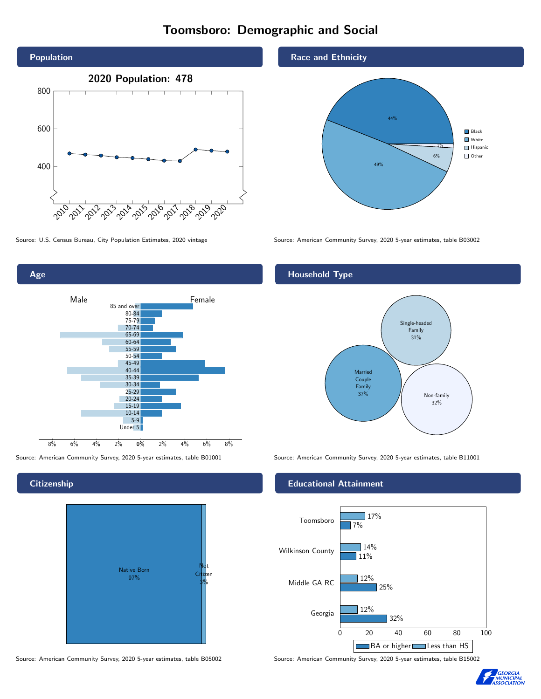# Toomsboro: Demographic and Social





# **Citizenship**



Source: American Community Survey, 2020 5-year estimates, table B05002 Source: American Community Survey, 2020 5-year estimates, table B15002

# Race and Ethnicity



Source: U.S. Census Bureau, City Population Estimates, 2020 vintage Source: American Community Survey, 2020 5-year estimates, table B03002

# Household Type



Source: American Community Survey, 2020 5-year estimates, table B01001 Source: American Community Survey, 2020 5-year estimates, table B11001

# Educational Attainment



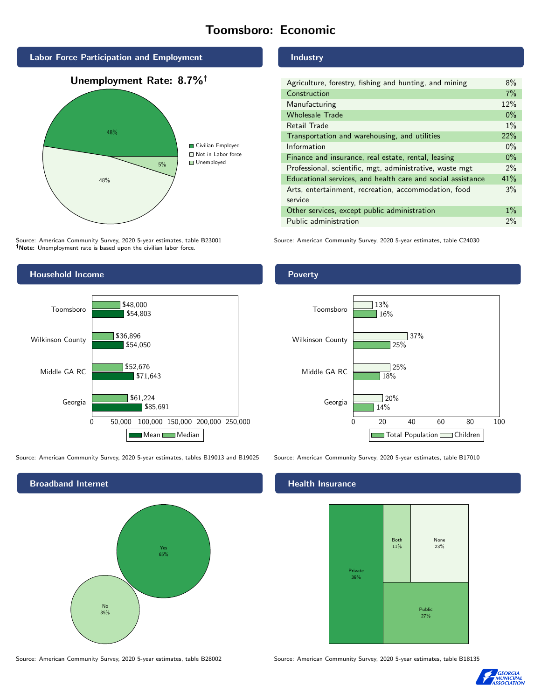# Toomsboro: Economic



Source: American Community Survey, 2020 5-year estimates, table B23001 Note: Unemployment rate is based upon the civilian labor force.

# Industry

| Agriculture, forestry, fishing and hunting, and mining      | 8%    |
|-------------------------------------------------------------|-------|
| Construction                                                | 7%    |
| Manufacturing                                               | 12%   |
| <b>Wholesale Trade</b>                                      | $0\%$ |
| Retail Trade                                                | $1\%$ |
| Transportation and warehousing, and utilities               | 22%   |
| Information                                                 | $0\%$ |
| Finance and insurance, real estate, rental, leasing         | $0\%$ |
| Professional, scientific, mgt, administrative, waste mgt    | $2\%$ |
| Educational services, and health care and social assistance | 41%   |
| Arts, entertainment, recreation, accommodation, food        | 3%    |
| service                                                     |       |
| Other services, except public administration                | $1\%$ |
| Public administration                                       | 2%    |

Source: American Community Survey, 2020 5-year estimates, table C24030



Source: American Community Survey, 2020 5-year estimates, tables B19013 and B19025 Source: American Community Survey, 2020 5-year estimates, table B17010



Poverty



# Health Insurance



Source: American Community Survey, 2020 5-year estimates, table B28002 Source: American Community Survey, 2020 5-year estimates, table B18135